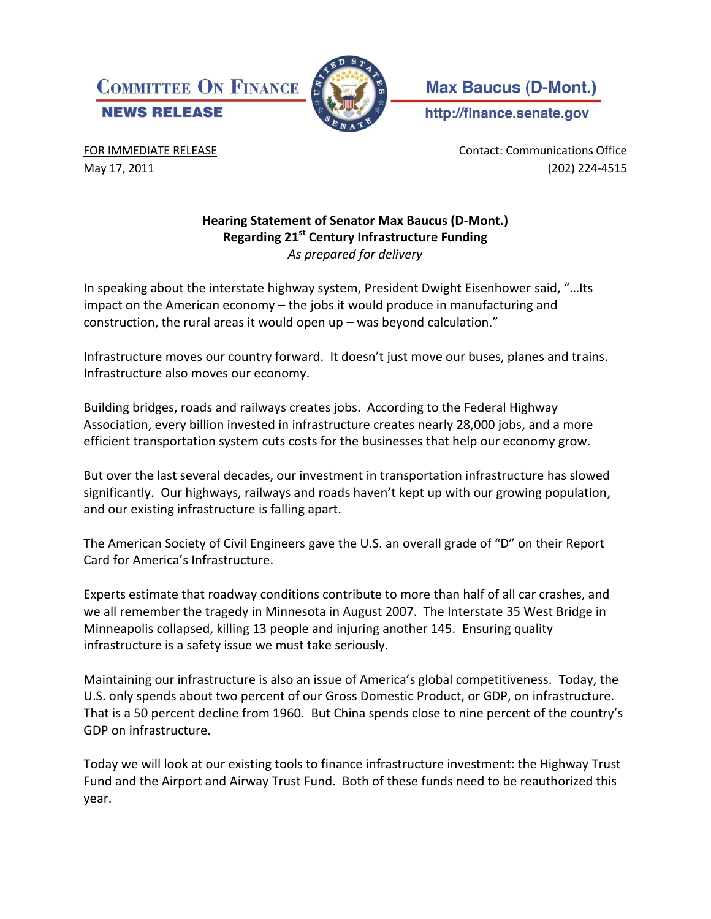



**Max Baucus (D-Mont.)** 

http://finance.senate.gov

FOR IMMEDIATE RELEASE **CONTACT CONTACT CONTACT** CONTACT: Communications Office May 17, 2011 (202) 224-4515

## **Hearing Statement of Senator Max Baucus (D-Mont.) Regarding 21st Century Infrastructure Funding**  *As prepared for delivery*

In speaking about the interstate highway system, President Dwight Eisenhower said, "…Its impact on the American economy – the jobs it would produce in manufacturing and construction, the rural areas it would open up – was beyond calculation."

Infrastructure moves our country forward. It doesn't just move our buses, planes and trains. Infrastructure also moves our economy.

Building bridges, roads and railways creates jobs. According to the Federal Highway Association, every billion invested in infrastructure creates nearly 28,000 jobs, and a more efficient transportation system cuts costs for the businesses that help our economy grow.

But over the last several decades, our investment in transportation infrastructure has slowed significantly. Our highways, railways and roads haven't kept up with our growing population, and our existing infrastructure is falling apart.

The American Society of Civil Engineers gave the U.S. an overall grade of "D" on their Report Card for America's Infrastructure.

Experts estimate that roadway conditions contribute to more than half of all car crashes, and we all remember the tragedy in Minnesota in August 2007. The Interstate 35 West Bridge in Minneapolis collapsed, killing 13 people and injuring another 145. Ensuring quality infrastructure is a safety issue we must take seriously.

Maintaining our infrastructure is also an issue of America's global competitiveness. Today, the U.S. only spends about two percent of our Gross Domestic Product, or GDP, on infrastructure. That is a 50 percent decline from 1960. But China spends close to nine percent of the country's GDP on infrastructure.

Today we will look at our existing tools to finance infrastructure investment: the Highway Trust Fund and the Airport and Airway Trust Fund. Both of these funds need to be reauthorized this year.